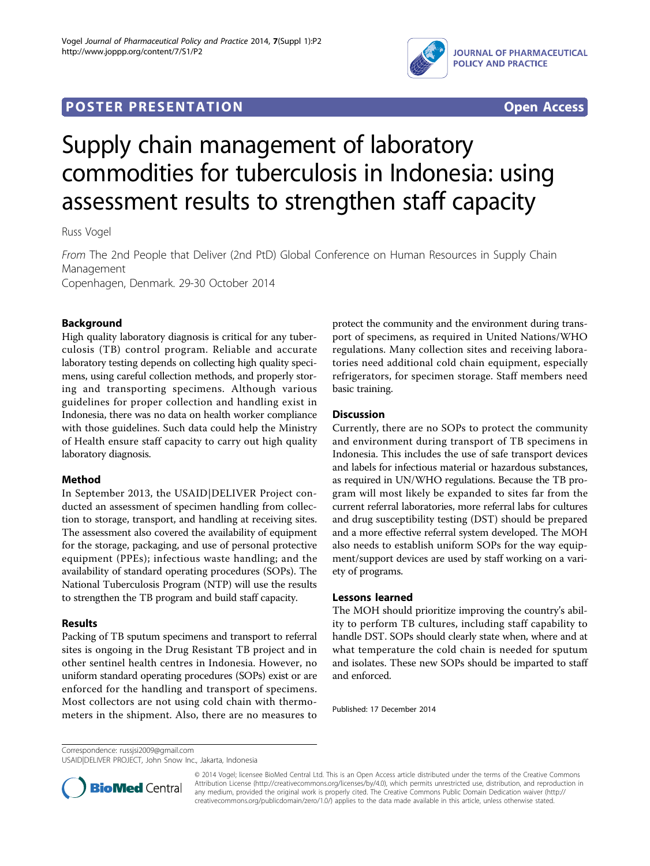## **JOURNAL OF PHARMACEUTICAL POLICY AND PRACTICE**

### **POSTER PRESENTATION CONSUMING THE SERVICE SERVICE SERVICES**



# Supply chain management of laboratory commodities for tuberculosis in Indonesia: using assessment results to strengthen staff capacity

Russ Vogel

From The 2nd People that Deliver (2nd PtD) Global Conference on Human Resources in Supply Chain Management Copenhagen, Denmark. 29-30 October 2014

#### Background

High quality laboratory diagnosis is critical for any tuberculosis (TB) control program. Reliable and accurate laboratory testing depends on collecting high quality specimens, using careful collection methods, and properly storing and transporting specimens. Although various guidelines for proper collection and handling exist in Indonesia, there was no data on health worker compliance with those guidelines. Such data could help the Ministry of Health ensure staff capacity to carry out high quality laboratory diagnosis.

#### Method

In September 2013, the USAID|DELIVER Project conducted an assessment of specimen handling from collection to storage, transport, and handling at receiving sites. The assessment also covered the availability of equipment for the storage, packaging, and use of personal protective equipment (PPEs); infectious waste handling; and the availability of standard operating procedures (SOPs). The National Tuberculosis Program (NTP) will use the results to strengthen the TB program and build staff capacity.

#### Results

Packing of TB sputum specimens and transport to referral sites is ongoing in the Drug Resistant TB project and in other sentinel health centres in Indonesia. However, no uniform standard operating procedures (SOPs) exist or are enforced for the handling and transport of specimens. Most collectors are not using cold chain with thermometers in the shipment. Also, there are no measures to protect the community and the environment during transport of specimens, as required in United Nations/WHO regulations. Many collection sites and receiving laboratories need additional cold chain equipment, especially refrigerators, for specimen storage. Staff members need basic training.

#### **Discussion**

Currently, there are no SOPs to protect the community and environment during transport of TB specimens in Indonesia. This includes the use of safe transport devices and labels for infectious material or hazardous substances, as required in UN/WHO regulations. Because the TB program will most likely be expanded to sites far from the current referral laboratories, more referral labs for cultures and drug susceptibility testing (DST) should be prepared and a more effective referral system developed. The MOH also needs to establish uniform SOPs for the way equipment/support devices are used by staff working on a variety of programs.

#### Lessons learned

The MOH should prioritize improving the country's ability to perform TB cultures, including staff capability to handle DST. SOPs should clearly state when, where and at what temperature the cold chain is needed for sputum and isolates. These new SOPs should be imparted to staff and enforced.

Published: 17 December 2014

Correspondence: [russjsi2009@gmail.com](mailto:russjsi2009@gmail.com)

USAID|DELIVER PROJECT, John Snow Inc., Jakarta, Indonesia



© 2014 Vogel; licensee BioMed Central Ltd. This is an Open Access article distributed under the terms of the Creative Commons Attribution License [\(http://creativecommons.org/licenses/by/4.0](http://creativecommons.org/licenses/by/4.0)), which permits unrestricted use, distribution, and reproduction in any medium, provided the original work is properly cited. The Creative Commons Public Domain Dedication waiver [\(http://](http://creativecommons.org/publicdomain/zero/1.0/) [creativecommons.org/publicdomain/zero/1.0/](http://creativecommons.org/publicdomain/zero/1.0/)) applies to the data made available in this article, unless otherwise stated.